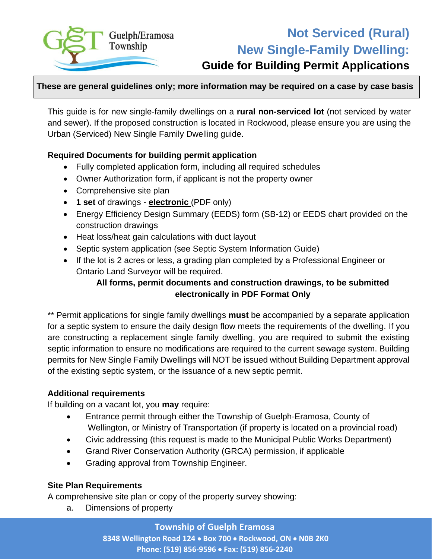

# **Not Serviced (Rural) New Single-Family Dwelling:**

## **Guide for Building Permit Applications**

#### **These are general guidelines only; more information may be required on a case by case basis**

This guide is for new single-family dwellings on a **rural non-serviced lot** (not serviced by water and sewer). If the proposed construction is located in Rockwood, please ensure you are using the Urban (Serviced) New Single Family Dwelling guide.

#### **Required Documents for building permit application**

- Fully completed application form, including all required schedules
- Owner Authorization form, if applicant is not the property owner
- Comprehensive site plan
- **1 set** of drawings **electronic** (PDF only)
- Energy Efficiency Design Summary (EEDS) form (SB-12) or EEDS chart provided on the construction drawings
- Heat loss/heat gain calculations with duct layout
- Septic system application (see Septic System Information Guide)
- If the lot is 2 acres or less, a grading plan completed by a Professional Engineer or Ontario Land Surveyor will be required.

#### **All forms, permit documents and construction drawings, to be submitted electronically in PDF Format Only**

\*\* Permit applications for single family dwellings **must** be accompanied by a separate application for a septic system to ensure the daily design flow meets the requirements of the dwelling. If you are constructing a replacement single family dwelling, you are required to submit the existing septic information to ensure no modifications are required to the current sewage system. Building permits for New Single Family Dwellings will NOT be issued without Building Department approval of the existing septic system, or the issuance of a new septic permit.

#### **Additional requirements**

If building on a vacant lot, you **may** require:

- Entrance permit through either the Township of Guelph-Eramosa, County of Wellington, or Ministry of Transportation (if property is located on a provincial road)
- Civic addressing (this request is made to the Municipal Public Works Department)
- Grand River Conservation Authority (GRCA) permission, if applicable
- Grading approval from Township Engineer.

#### **Site Plan Requirements**

A comprehensive site plan or copy of the property survey showing:

a. Dimensions of property

**Township of Guelph Eramosa** 

**8348 Wellington Road 124** • **Box 700** • **Rockwood, ON** • **N0B 2K0 Phone: (519) 856-9596** • **Fax: (519) 856-2240**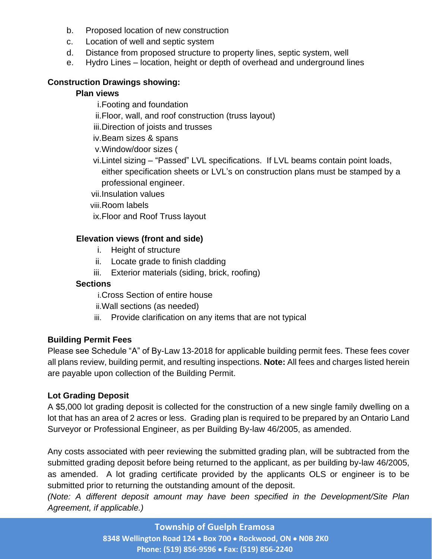- b. Proposed location of new construction
- c. Location of well and septic system
- d. Distance from proposed structure to property lines, septic system, well
- e. Hydro Lines location, height or depth of overhead and underground lines

#### **Construction Drawings showing:**

#### **Plan views**

- i.Footing and foundation
- ii.Floor, wall, and roof construction (truss layout)
- iii.Direction of joists and trusses
- iv.Beam sizes & spans
- v.Window/door sizes (
- vi.Lintel sizing "Passed" LVL specifications. If LVL beams contain point loads, either specification sheets or LVL's on construction plans must be stamped by a professional engineer.
- vii.Insulation values
- viii.Room labels
- ix.Floor and Roof Truss layout

#### **Elevation views (front and side)**

- i. Height of structure
- ii. Locate grade to finish cladding
- iii. Exterior materials (siding, brick, roofing)

#### **Sections**

- i.Cross Section of entire house
- ii.Wall sections (as needed)
- iii. Provide clarification on any items that are not typical

#### **Building Permit Fees**

Please see Schedule "A" of By-Law 13-2018 for applicable building permit fees. These fees cover all plans review, building permit, and resulting inspections. **Note:** All fees and charges listed herein are payable upon collection of the Building Permit.

#### **Lot Grading Deposit**

A \$5,000 lot grading deposit is collected for the construction of a new single family dwelling on a lot that has an area of 2 acres or less. Grading plan is required to be prepared by an Ontario Land Surveyor or Professional Engineer, as per Building By-law 46/2005, as amended.

Any costs associated with peer reviewing the submitted grading plan, will be subtracted from the submitted grading deposit before being returned to the applicant, as per building by-law 46/2005, as amended. A lot grading certificate provided by the applicants OLS or engineer is to be submitted prior to returning the outstanding amount of the deposit.

*(Note: A different deposit amount may have been specified in the Development/Site Plan Agreement, if applicable.)*

#### **Township of Guelph Eramosa**

**8348 Wellington Road 124** • **Box 700** • **Rockwood, ON** • **N0B 2K0 Phone: (519) 856-9596** • **Fax: (519) 856-2240**